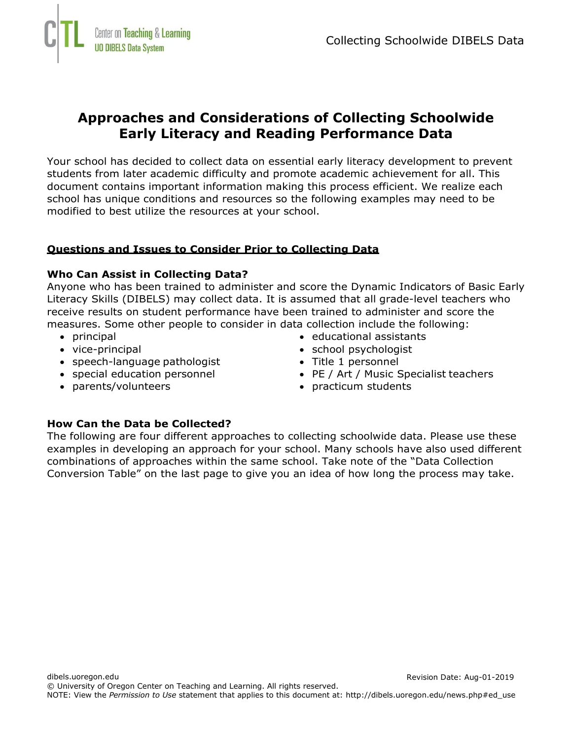

# **Approaches and Considerations of Collecting Schoolwide Early Literacy and Reading Performance Data**

Your school has decided to collect data on essential early literacy development to prevent students from later academic difficulty and promote academic achievement for all. This document contains important information making this process efficient. We realize each school has unique conditions and resources so the following examples may need to be modified to best utilize the resources at your school.

### **Questions and Issues to Consider Prior to Collecting Data**

#### **Who Can Assist in Collecting Data?**

Anyone who has been trained to administer and score the Dynamic Indicators of Basic Early Literacy Skills (DIBELS) may collect data. It is assumed that all grade-level teachers who receive results on student performance have been trained to administer and score the measures. Some other people to consider in data collection include the following:

- principal
- vice-principal

• parents/volunteers

- speech-language pathologist
- special education personnel
- educational assistants
- school psychologist
- Title 1 personnel
- PE / Art / Music Specialist teachers
- practicum students

#### **How Can the Data be Collected?**

The following are four different approaches to collecting schoolwide data. Please use these examples in developing an approach for your school. Many schools have also used different combinations of approaches within the same school. Take note of the "Data Collection Conversion Table" on the last page to give you an idea of how long the process may take.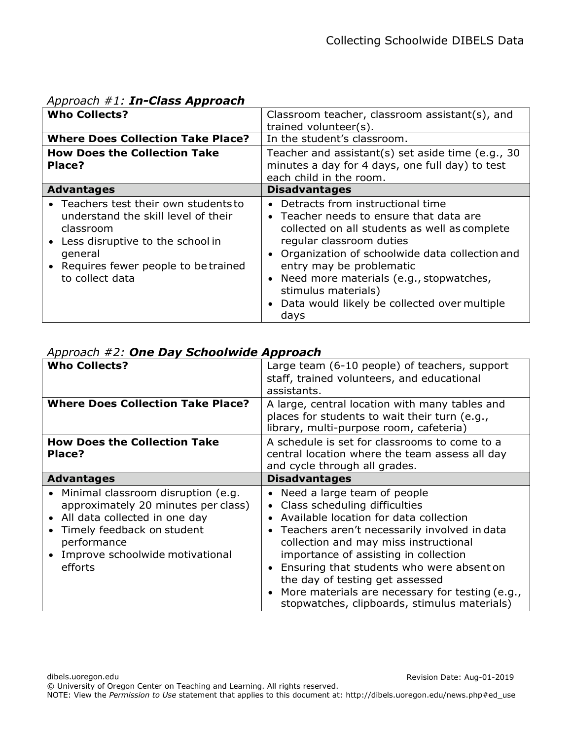| $Appi$ $0$ ac $ii$ $#1$ . $III$ -Class Appl Oac $ii$                                                                                                                                                   |                                                                                                                                                                                                                                                                                                                                                                        |  |  |
|--------------------------------------------------------------------------------------------------------------------------------------------------------------------------------------------------------|------------------------------------------------------------------------------------------------------------------------------------------------------------------------------------------------------------------------------------------------------------------------------------------------------------------------------------------------------------------------|--|--|
| <b>Who Collects?</b>                                                                                                                                                                                   | Classroom teacher, classroom assistant(s), and<br>trained volunteer(s).                                                                                                                                                                                                                                                                                                |  |  |
| <b>Where Does Collection Take Place?</b>                                                                                                                                                               | In the student's classroom.                                                                                                                                                                                                                                                                                                                                            |  |  |
| <b>How Does the Collection Take</b><br>Place?                                                                                                                                                          | Teacher and assistant(s) set aside time (e.g., 30<br>minutes a day for 4 days, one full day) to test<br>each child in the room.                                                                                                                                                                                                                                        |  |  |
| <b>Advantages</b>                                                                                                                                                                                      | <b>Disadvantages</b>                                                                                                                                                                                                                                                                                                                                                   |  |  |
| • Teachers test their own students to<br>understand the skill level of their<br>classroom<br>• Less disruptive to the school in<br>general<br>• Requires fewer people to be trained<br>to collect data | Detracts from instructional time<br>• Teacher needs to ensure that data are<br>collected on all students as well as complete<br>regular classroom duties<br>• Organization of schoolwide data collection and<br>entry may be problematic<br>• Need more materials (e.g., stopwatches,<br>stimulus materials)<br>• Data would likely be collected over multiple<br>days |  |  |

# *Approach #1: In-Class Approach*

|  |  |  |  |  |  |  |  | Approach #2: One Day Schoolwide Approach |
|--|--|--|--|--|--|--|--|------------------------------------------|
|--|--|--|--|--|--|--|--|------------------------------------------|

| $\ddot{\mathbf{r}}$                                                                                                                                                                                     |                                                                                                                                                                                                                                                                                                                                                                                                                                 |  |  |  |
|---------------------------------------------------------------------------------------------------------------------------------------------------------------------------------------------------------|---------------------------------------------------------------------------------------------------------------------------------------------------------------------------------------------------------------------------------------------------------------------------------------------------------------------------------------------------------------------------------------------------------------------------------|--|--|--|
| <b>Who Collects?</b>                                                                                                                                                                                    | Large team (6-10 people) of teachers, support<br>staff, trained volunteers, and educational<br>assistants.                                                                                                                                                                                                                                                                                                                      |  |  |  |
| <b>Where Does Collection Take Place?</b>                                                                                                                                                                | A large, central location with many tables and<br>places for students to wait their turn (e.g.,<br>library, multi-purpose room, cafeteria)                                                                                                                                                                                                                                                                                      |  |  |  |
| <b>How Does the Collection Take</b><br>Place?                                                                                                                                                           | A schedule is set for classrooms to come to a<br>central location where the team assess all day<br>and cycle through all grades.                                                                                                                                                                                                                                                                                                |  |  |  |
| <b>Advantages</b>                                                                                                                                                                                       | <b>Disadvantages</b>                                                                                                                                                                                                                                                                                                                                                                                                            |  |  |  |
| • Minimal classroom disruption (e.g.<br>approximately 20 minutes per class)<br>All data collected in one day<br>Timely feedback on student<br>performance<br>Improve schoolwide motivational<br>efforts | • Need a large team of people<br>• Class scheduling difficulties<br>Available location for data collection<br>Teachers aren't necessarily involved in data<br>collection and may miss instructional<br>importance of assisting in collection<br>Ensuring that students who were absent on<br>the day of testing get assessed<br>More materials are necessary for testing (e.g.,<br>stopwatches, clipboards, stimulus materials) |  |  |  |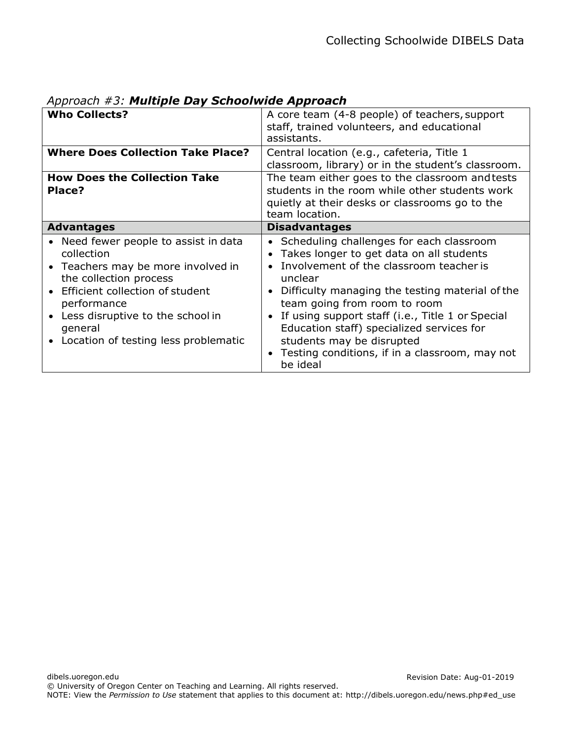| <b>Who Collects?</b><br><b>Where Does Collection Take Place?</b>                                                                                                                                                                                             | A core team (4-8 people) of teachers, support<br>staff, trained volunteers, and educational<br>assistants.<br>Central location (e.g., cafeteria, Title 1                                                                                                                                                                                                                                                                  |  |  |  |
|--------------------------------------------------------------------------------------------------------------------------------------------------------------------------------------------------------------------------------------------------------------|---------------------------------------------------------------------------------------------------------------------------------------------------------------------------------------------------------------------------------------------------------------------------------------------------------------------------------------------------------------------------------------------------------------------------|--|--|--|
|                                                                                                                                                                                                                                                              | classroom, library) or in the student's classroom.                                                                                                                                                                                                                                                                                                                                                                        |  |  |  |
| <b>How Does the Collection Take</b><br>Place?                                                                                                                                                                                                                | The team either goes to the classroom and tests<br>students in the room while other students work<br>quietly at their desks or classrooms go to the<br>team location.                                                                                                                                                                                                                                                     |  |  |  |
| <b>Advantages</b>                                                                                                                                                                                                                                            | <b>Disadvantages</b>                                                                                                                                                                                                                                                                                                                                                                                                      |  |  |  |
| • Need fewer people to assist in data<br>collection<br>• Teachers may be more involved in<br>the collection process<br>Efficient collection of student<br>performance<br>Less disruptive to the school in<br>general<br>Location of testing less problematic | Scheduling challenges for each classroom<br>Takes longer to get data on all students<br>Involvement of the classroom teacher is<br>unclear<br>Difficulty managing the testing material of the<br>team going from room to room<br>If using support staff (i.e., Title 1 or Special<br>Education staff) specialized services for<br>students may be disrupted<br>Testing conditions, if in a classroom, may not<br>be ideal |  |  |  |

*Approach #3: Multiple Day Schoolwide Approach*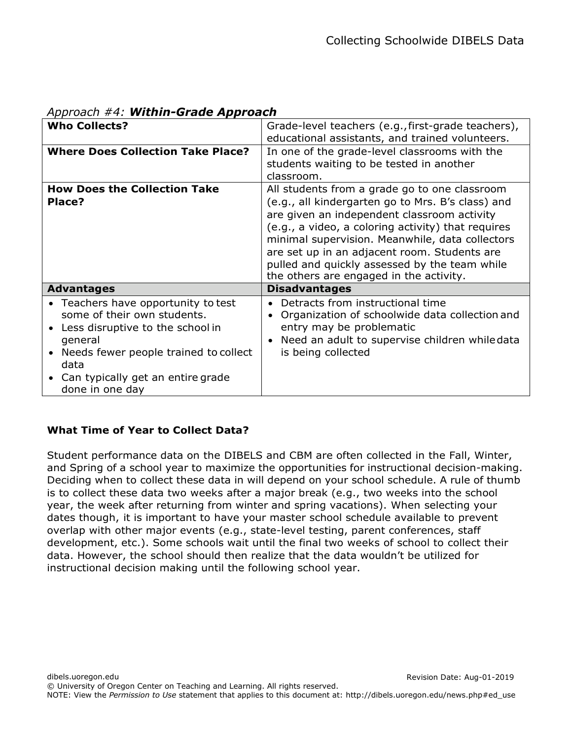| $\mu$ pproach $\mu$ is <b>setching order Approach</b>                                                                                                                                                                        |                                                                                                                                                                                                                                                                                                                                                                                                        |  |  |
|------------------------------------------------------------------------------------------------------------------------------------------------------------------------------------------------------------------------------|--------------------------------------------------------------------------------------------------------------------------------------------------------------------------------------------------------------------------------------------------------------------------------------------------------------------------------------------------------------------------------------------------------|--|--|
| <b>Who Collects?</b>                                                                                                                                                                                                         | Grade-level teachers (e.g., first-grade teachers),<br>educational assistants, and trained volunteers.                                                                                                                                                                                                                                                                                                  |  |  |
| <b>Where Does Collection Take Place?</b>                                                                                                                                                                                     | In one of the grade-level classrooms with the<br>students waiting to be tested in another<br>classroom.                                                                                                                                                                                                                                                                                                |  |  |
| <b>How Does the Collection Take</b><br>Place?                                                                                                                                                                                | All students from a grade go to one classroom<br>(e.g., all kindergarten go to Mrs. B's class) and<br>are given an independent classroom activity<br>(e.g., a video, a coloring activity) that requires<br>minimal supervision. Meanwhile, data collectors<br>are set up in an adjacent room. Students are<br>pulled and quickly assessed by the team while<br>the others are engaged in the activity. |  |  |
| <b>Advantages</b>                                                                                                                                                                                                            | <b>Disadvantages</b>                                                                                                                                                                                                                                                                                                                                                                                   |  |  |
| • Teachers have opportunity to test<br>some of their own students.<br>Less disruptive to the school in<br>general<br>Needs fewer people trained to collect<br>data<br>• Can typically get an entire grade<br>done in one day | Detracts from instructional time<br>Organization of schoolwide data collection and<br>entry may be problematic<br>Need an adult to supervise children whiledata<br>is being collected                                                                                                                                                                                                                  |  |  |

# *Approach #4: Within-Grade Approach*

## **What Time of Year to Collect Data?**

Student performance data on the DIBELS and CBM are often collected in the Fall, Winter, and Spring of a school year to maximize the opportunities for instructional decision-making. Deciding when to collect these data in will depend on your school schedule. A rule of thumb is to collect these data two weeks after a major break (e.g., two weeks into the school year, the week after returning from winter and spring vacations). When selecting your dates though, it is important to have your master school schedule available to prevent overlap with other major events (e.g., state-level testing, parent conferences, staff development, etc.). Some schools wait until the final two weeks of school to collect their data. However, the school should then realize that the data wouldn't be utilized for instructional decision making until the following school year.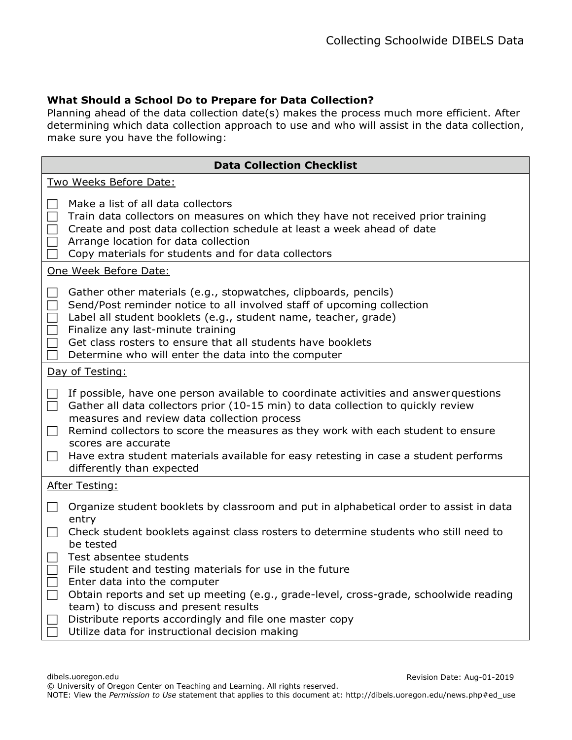### **What Should a School Do to Prepare for Data Collection?**

Planning ahead of the data collection date(s) makes the process much more efficient. After determining which data collection approach to use and who will assist in the data collection, make sure you have the following:

|                                    | <b>Data Collection Checklist</b>                                                                                                                                                                                                                                                                                                                                                                                                                         |
|------------------------------------|----------------------------------------------------------------------------------------------------------------------------------------------------------------------------------------------------------------------------------------------------------------------------------------------------------------------------------------------------------------------------------------------------------------------------------------------------------|
|                                    | Two Weeks Before Date:                                                                                                                                                                                                                                                                                                                                                                                                                                   |
|                                    | Make a list of all data collectors<br>Train data collectors on measures on which they have not received prior training<br>Create and post data collection schedule at least a week ahead of date<br>Arrange location for data collection<br>Copy materials for students and for data collectors                                                                                                                                                          |
|                                    | One Week Before Date:                                                                                                                                                                                                                                                                                                                                                                                                                                    |
| $\blacksquare$                     | Gather other materials (e.g., stopwatches, clipboards, pencils)<br>Send/Post reminder notice to all involved staff of upcoming collection<br>Label all student booklets (e.g., student name, teacher, grade)<br>Finalize any last-minute training<br>Get class rosters to ensure that all students have booklets<br>Determine who will enter the data into the computer                                                                                  |
|                                    | Day of Testing:                                                                                                                                                                                                                                                                                                                                                                                                                                          |
| $\Box$<br>$\Box$<br>$\mathbb{R}^n$ | If possible, have one person available to coordinate activities and answer questions<br>Gather all data collectors prior (10-15 min) to data collection to quickly review<br>measures and review data collection process<br>Remind collectors to score the measures as they work with each student to ensure<br>scores are accurate<br>Have extra student materials available for easy retesting in case a student performs<br>differently than expected |
|                                    | <b>After Testing:</b>                                                                                                                                                                                                                                                                                                                                                                                                                                    |
| $\blacksquare$<br>$\mathbb{R}^n$   | Organize student booklets by classroom and put in alphabetical order to assist in data<br>entry<br>Check student booklets against class rosters to determine students who still need to<br>be tested                                                                                                                                                                                                                                                     |
|                                    | Test absentee students<br>File student and testing materials for use in the future<br>Enter data into the computer<br>Obtain reports and set up meeting (e.g., grade-level, cross-grade, schoolwide reading<br>team) to discuss and present results<br>Distribute reports accordingly and file one master copy<br>Utilize data for instructional decision making                                                                                         |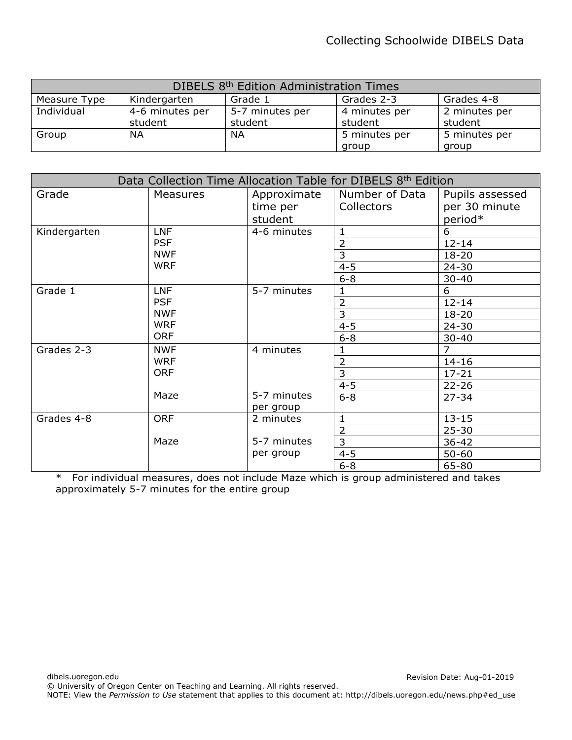| DIBELS 8 <sup>th</sup> Edition Administration Times |                                                     |                 |               |               |  |  |
|-----------------------------------------------------|-----------------------------------------------------|-----------------|---------------|---------------|--|--|
| Measure Type                                        | Grades 2-3<br>Grades 4-8<br>Kindergarten<br>Grade 1 |                 |               |               |  |  |
| Individual                                          | 4-6 minutes per                                     | 5-7 minutes per | 4 minutes per | 2 minutes per |  |  |
|                                                     | student                                             | student         | student       | student       |  |  |
| Group                                               | ΝA                                                  | NА              | 5 minutes per | 5 minutes per |  |  |
|                                                     |                                                     |                 | group         | group         |  |  |

| Data Collection Time Allocation Table for DIBELS 8th Edition |                 |             |                |                 |
|--------------------------------------------------------------|-----------------|-------------|----------------|-----------------|
| Grade                                                        | <b>Measures</b> | Approximate | Number of Data | Pupils assessed |
|                                                              |                 | time per    | Collectors     | per 30 minute   |
|                                                              |                 | student     |                | period*         |
| Kindergarten                                                 | <b>LNF</b>      | 4-6 minutes | $\mathbf{1}$   | 6               |
|                                                              | <b>PSF</b>      |             | $\overline{2}$ | $12 - 14$       |
|                                                              | <b>NWF</b>      |             | 3              | $18 - 20$       |
|                                                              | <b>WRF</b>      |             | $4 - 5$        | $24 - 30$       |
|                                                              |                 |             | $6 - 8$        | $30 - 40$       |
| Grade 1                                                      | <b>LNF</b>      | 5-7 minutes | 1              | 6               |
|                                                              | <b>PSF</b>      |             | $\overline{2}$ | $12 - 14$       |
|                                                              | <b>NWF</b>      |             | 3              | $18 - 20$       |
|                                                              | <b>WRF</b>      |             | $4 - 5$        | $24 - 30$       |
|                                                              | <b>ORF</b>      |             | $6 - 8$        | $30 - 40$       |
| Grades 2-3                                                   | <b>NWF</b>      | 4 minutes   |                | $\overline{7}$  |
|                                                              | <b>WRF</b>      |             | $\overline{2}$ | $14 - 16$       |
|                                                              | <b>ORF</b>      |             | 3              | $17 - 21$       |
|                                                              |                 |             | $4 - 5$        | $22 - 26$       |
|                                                              | Maze            | 5-7 minutes | $6 - 8$        | $27 - 34$       |
|                                                              |                 | per group   |                |                 |
| Grades 4-8                                                   | <b>ORF</b>      | 2 minutes   |                | $13 - 15$       |
|                                                              |                 |             | $\overline{2}$ | $25 - 30$       |
|                                                              | Maze            | 5-7 minutes | 3              | $36 - 42$       |
|                                                              |                 | per group   | $4 - 5$        | $50 - 60$       |
|                                                              |                 |             | $6 - 8$        | 65-80           |

\* For individual measures, does not include Maze which is group administered and takes approximately 5-7 minutes for the entire group